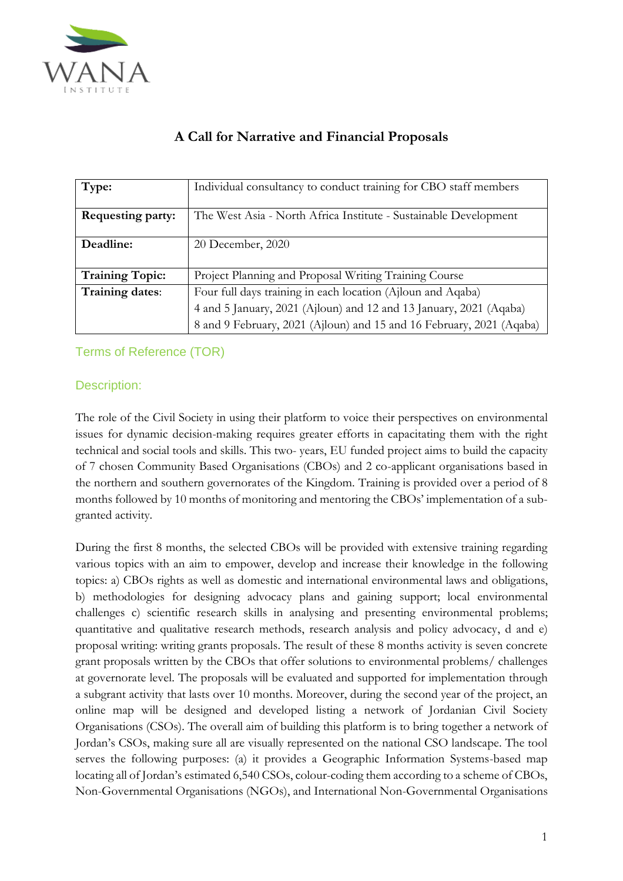

| Type:                    | Individual consultancy to conduct training for CBO staff members     |
|--------------------------|----------------------------------------------------------------------|
| <b>Requesting party:</b> | The West Asia - North Africa Institute - Sustainable Development     |
| Deadline:                | 20 December, 2020                                                    |
| <b>Training Topic:</b>   | Project Planning and Proposal Writing Training Course                |
| Training dates:          | Four full days training in each location (Ajloun and Aqaba)          |
|                          | 4 and 5 January, 2021 (Ajloun) and 12 and 13 January, 2021 (Aqaba)   |
|                          | 8 and 9 February, 2021 (Ajloun) and 15 and 16 February, 2021 (Aqaba) |

# **A Call for Narrative and Financial Proposals**

# Terms of Reference (TOR)

## Description:

The role of the Civil Society in using their platform to voice their perspectives on environmental issues for dynamic decision-making requires greater efforts in capacitating them with the right technical and social tools and skills. This two- years, EU funded project aims to build the capacity of 7 chosen Community Based Organisations (CBOs) and 2 co-applicant organisations based in the northern and southern governorates of the Kingdom. Training is provided over a period of 8 months followed by 10 months of monitoring and mentoring the CBOs' implementation of a subgranted activity.

During the first 8 months, the selected CBOs will be provided with extensive training regarding various topics with an aim to empower, develop and increase their knowledge in the following topics: a) CBOs rights as well as domestic and international environmental laws and obligations, b) methodologies for designing advocacy plans and gaining support; local environmental challenges c) scientific research skills in analysing and presenting environmental problems; quantitative and qualitative research methods, research analysis and policy advocacy, d and e) proposal writing: writing grants proposals. The result of these 8 months activity is seven concrete grant proposals written by the CBOs that offer solutions to environmental problems/ challenges at governorate level. The proposals will be evaluated and supported for implementation through a subgrant activity that lasts over 10 months. Moreover, during the second year of the project, an online map will be designed and developed listing a network of Jordanian Civil Society Organisations (CSOs). The overall aim of building this platform is to bring together a network of Jordan's CSOs, making sure all are visually represented on the national CSO landscape. The tool serves the following purposes: (a) it provides a Geographic Information Systems-based map locating all of Jordan's estimated 6,540 CSOs, colour-coding them according to a scheme of CBOs, Non-Governmental Organisations (NGOs), and International Non-Governmental Organisations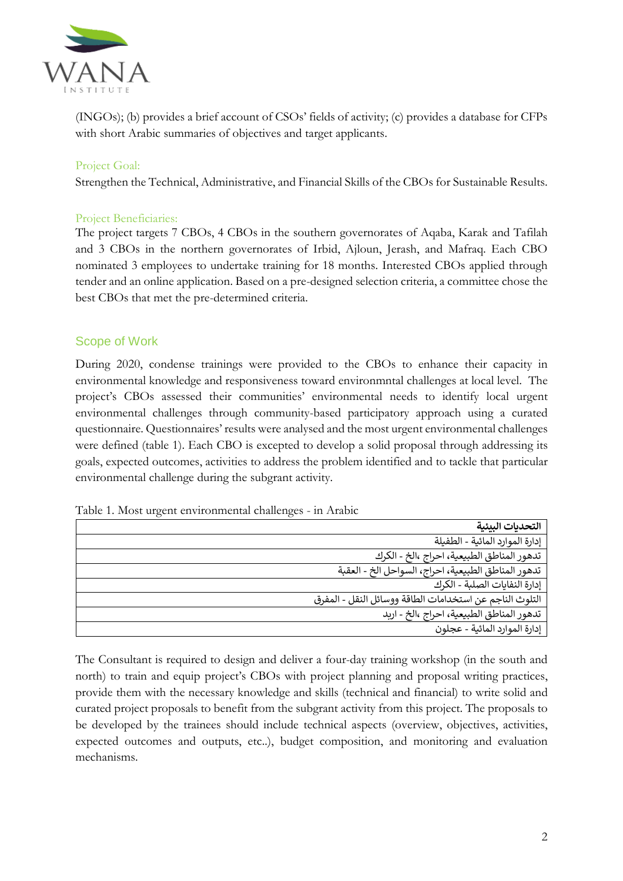

(INGOs); (b) provides a brief account of CSOs' fields of activity; (c) provides a database for CFPs with short Arabic summaries of objectives and target applicants.

## Project Goal:

Strengthen the Technical, Administrative, and Financial Skills of the CBOs for Sustainable Results.

#### Project Beneficiaries:

The project targets 7 CBOs, 4 CBOs in the southern governorates of Aqaba, Karak and Tafilah and 3 CBOs in the northern governorates of Irbid, Ajloun, Jerash, and Mafraq. Each CBO nominated 3 employees to undertake training for 18 months. Interested CBOs applied through tender and an online application. Based on a pre-designed selection criteria, a committee chose the best CBOs that met the pre-determined criteria.

### Scope of Work

During 2020, condense trainings were provided to the CBOs to enhance their capacity in environmental knowledge and responsiveness toward environmntal challenges at local level. The project's CBOs assessed their communities' environmental needs to identify local urgent environmental challenges through community-based participatory approach using a curated questionnaire. Questionnaires' results were analysed and the most urgent environmental challenges were defined (table 1). Each CBO is excepted to develop a solid proposal through addressing its goals, expected outcomes, activities to address the problem identified and to tackle that particular environmental challenge during the subgrant activity.

| Table 1. Most urgent environmental challenges - in Arabic |  |  |
|-----------------------------------------------------------|--|--|
|                                                           |  |  |

| التحديات البيئية                                        |
|---------------------------------------------------------|
| إدارة الموارد المائية - الطفيلة                         |
| تدهور المناطق الطبيعية، احراج ،الخ - الكرك              |
| تدهور المناطق الطبيعية، احراج، السواحل الخ - العقبة     |
| إدارة النفايات الصلبة - الكرك                           |
| التلوث الناجم عن استخدامات الطاقة ووسائل النقل - المفرق |
| تدهور المناطق الطبيعية، احراج ،الخ - اربد               |
| إدارة الموارد المائية - عجلون                           |

The Consultant is required to design and deliver a four-day training workshop (in the south and north) to train and equip project's CBOs with project planning and proposal writing practices, provide them with the necessary knowledge and skills (technical and financial) to write solid and curated project proposals to benefit from the subgrant activity from this project. The proposals to be developed by the trainees should include technical aspects (overview, objectives, activities, expected outcomes and outputs, etc..), budget composition, and monitoring and evaluation mechanisms.